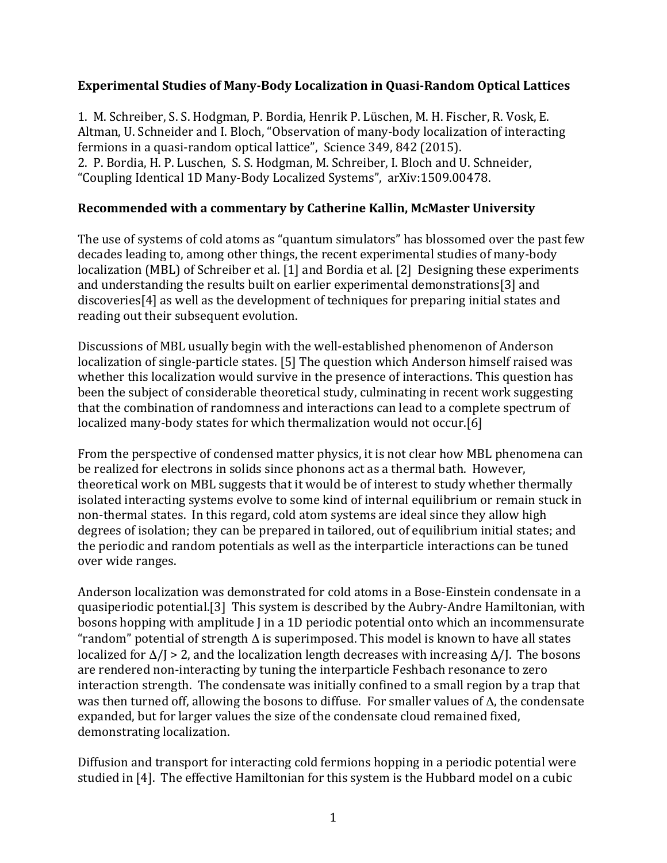## **Experimental Studies of Many-Body Localization in Quasi-Random Optical Lattices**

1. M. Schreiber, S. S. Hodgman, P. Bordia, Henrik P. Lüschen, M. H. Fischer, R. Vosk, E. Altman, U. Schneider and I. Bloch, "Observation of many-body localization of interacting fermions in a quasi-random optical lattice", Science 349, 842 (2015). 2. P. Bordia, H. P. Luschen, S. S. Hodgman, M. Schreiber, I. Bloch and U. Schneider, "Coupling Identical 1D Many-Body Localized Systems", arXiv:1509.00478.

## **Recommended with a commentary by Catherine Kallin, McMaster University**

The use of systems of cold atoms as "quantum simulators" has blossomed over the past few decades leading to, among other things, the recent experimental studies of many-body localization (MBL) of Schreiber et al. [1] and Bordia et al. [2] Designing these experiments and understanding the results built on earlier experimental demonstrations[3] and  $discoveries[4]$  as well as the development of techniques for preparing initial states and reading out their subsequent evolution.

Discussions of MBL usually begin with the well-established phenomenon of Anderson localization of single-particle states. [5] The question which Anderson himself raised was whether this localization would survive in the presence of interactions. This question has been the subject of considerable theoretical study, culminating in recent work suggesting that the combination of randomness and interactions can lead to a complete spectrum of localized many-body states for which thermalization would not occur.[6]

From the perspective of condensed matter physics, it is not clear how MBL phenomena can be realized for electrons in solids since phonons act as a thermal bath. However, theoretical work on MBL suggests that it would be of interest to study whether thermally isolated interacting systems evolve to some kind of internal equilibrium or remain stuck in non-thermal states. In this regard, cold atom systems are ideal since they allow high degrees of isolation; they can be prepared in tailored, out of equilibrium initial states; and the periodic and random potentials as well as the interparticle interactions can be tuned over wide ranges.

Anderson localization was demonstrated for cold atoms in a Bose-Einstein condensate in a quasiperiodic potential.[3] This system is described by the Aubry-Andre Hamiltonian, with bosons hopping with amplitude J in a 1D periodic potential onto which an incommensurate "random" potential of strength  $\Delta$  is superimposed. This model is known to have all states localized for  $\Delta / J > 2$ , and the localization length decreases with increasing  $\Delta / J$ . The bosons are rendered non-interacting by tuning the interparticle Feshbach resonance to zero interaction strength. The condensate was initially confined to a small region by a trap that was then turned off, allowing the bosons to diffuse. For smaller values of  $\Delta$ , the condensate expanded, but for larger values the size of the condensate cloud remained fixed, demonstrating localization.

Diffusion and transport for interacting cold fermions hopping in a periodic potential were studied in [4]. The effective Hamiltonian for this system is the Hubbard model on a cubic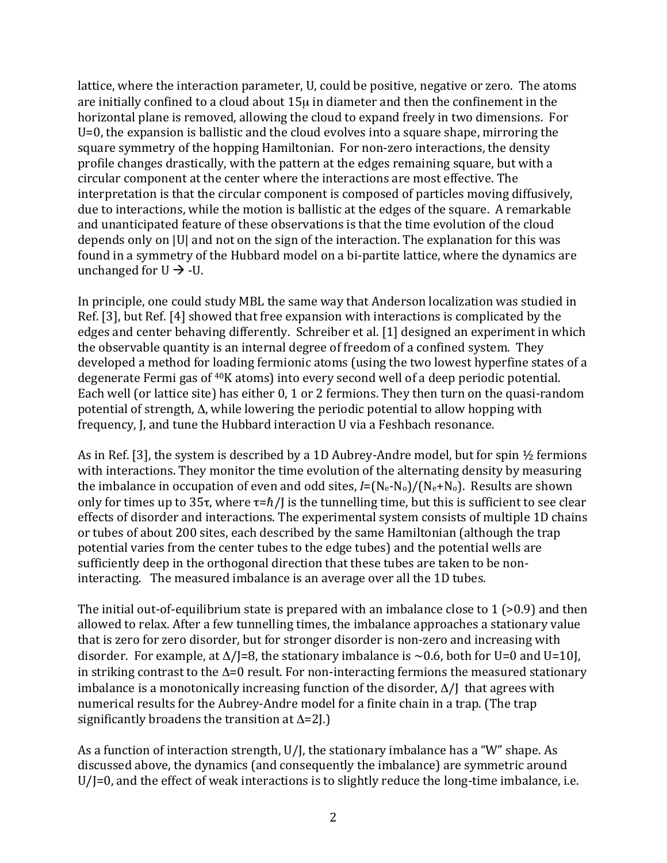lattice, where the interaction parameter, U, could be positive, negative or zero. The atoms are initially confined to a cloud about  $15\mu$  in diameter and then the confinement in the horizontal plane is removed, allowing the cloud to expand freely in two dimensions. For U=0, the expansion is ballistic and the cloud evolves into a square shape, mirroring the square symmetry of the hopping Hamiltonian. For non-zero interactions, the density profile changes drastically, with the pattern at the edges remaining square, but with a circular component at the center where the interactions are most effective. The interpretation is that the circular component is composed of particles moving diffusively, due to interactions, while the motion is ballistic at the edges of the square. A remarkable and unanticipated feature of these observations is that the time evolution of the cloud depends only on |U| and not on the sign of the interaction. The explanation for this was found in a symmetry of the Hubbard model on a bi-partite lattice, where the dynamics are unchanged for  $U \rightarrow -U$ .

In principle, one could study MBL the same way that Anderson localization was studied in Ref. [3], but Ref. [4] showed that free expansion with interactions is complicated by the edges and center behaving differently. Schreiber et al. [1] designed an experiment in which the observable quantity is an internal degree of freedom of a confined system. They developed a method for loading fermionic atoms (using the two lowest hyperfine states of a degenerate Fermi gas of  $40K$  atoms) into every second well of a deep periodic potential. Each well (or lattice site) has either  $0, 1$  or 2 fermions. They then turn on the quasi-random potential of strength,  $\Delta$ , while lowering the periodic potential to allow hopping with frequency, J, and tune the Hubbard interaction U via a Feshbach resonance.

As in Ref. [3], the system is described by a 1D Aubrey-Andre model, but for spin  $\frac{1}{2}$  fermions with interactions. They monitor the time evolution of the alternating density by measuring the imbalance in occupation of even and odd sites,  $I = (N_e - N_o)/(N_e + N_o)$ . Results are shown only for times up to  $35\tau$ , where  $\tau = \hbar / J$  is the tunnelling time, but this is sufficient to see clear effects of disorder and interactions. The experimental system consists of multiple 1D chains or tubes of about 200 sites, each described by the same Hamiltonian (although the trap potential varies from the center tubes to the edge tubes) and the potential wells are sufficiently deep in the orthogonal direction that these tubes are taken to be noninteracting. The measured imbalance is an average over all the 1D tubes.

The initial out-of-equilibrium state is prepared with an imbalance close to  $1$  (>0.9) and then allowed to relax. After a few tunnelling times, the imbalance approaches a stationary value that is zero for zero disorder, but for stronger disorder is non-zero and increasing with disorder. For example, at  $\Delta$ /J=8, the stationary imbalance is ~0.6, both for U=0 and U=10J, in striking contrast to the  $\Delta=0$  result. For non-interacting fermions the measured stationary imbalance is a monotonically increasing function of the disorder,  $\Delta$ /J that agrees with numerical results for the Aubrey-Andre model for a finite chain in a trap. (The trap significantly broadens the transition at  $\Delta=2$ ].)

As a function of interaction strength,  $U/I$ , the stationary imbalance has a "W" shape. As discussed above, the dynamics (and consequently the imbalance) are symmetric around  $U/I=0$ , and the effect of weak interactions is to slightly reduce the long-time imbalance, i.e.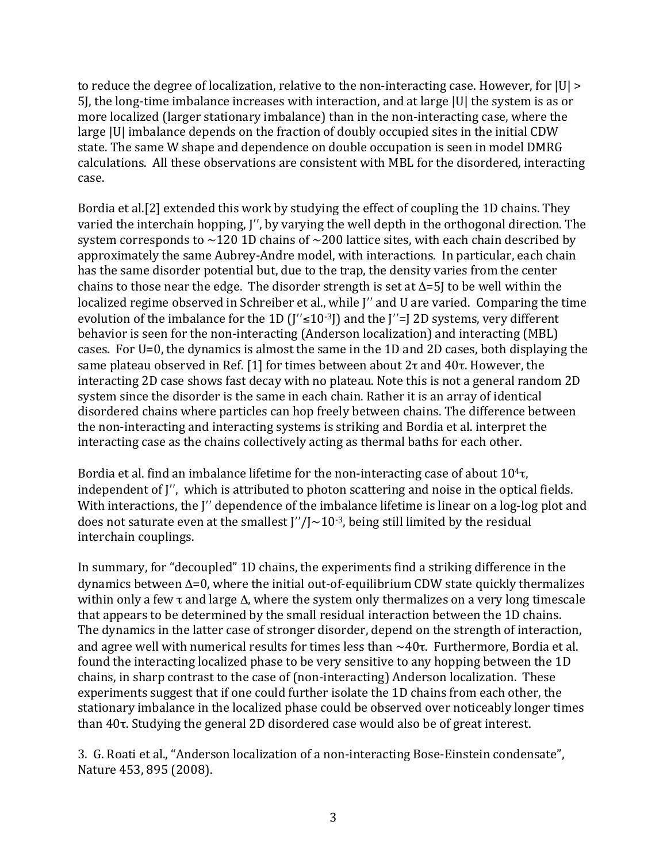to reduce the degree of localization, relative to the non-interacting case. However, for  $|U| >$ 5], the long-time imbalance increases with interaction, and at large  $|U|$  the system is as or more localized (larger stationary imbalance) than in the non-interacting case, where the large |U| imbalance depends on the fraction of doubly occupied sites in the initial CDW state. The same W shape and dependence on double occupation is seen in model DMRG calculations. All these observations are consistent with MBL for the disordered, interacting case.

Bordia et al.[2] extended this work by studying the effect of coupling the 1D chains. They varied the interchain hopping, J'', by varying the well depth in the orthogonal direction. The system corresponds to  $\sim$ 120 1D chains of  $\sim$ 200 lattice sites, with each chain described by approximately the same Aubrey-Andre model, with interactions. In particular, each chain has the same disorder potential but, due to the trap, the density varies from the center chains to those near the edge. The disorder strength is set at  $\Delta = 5$  to be well within the localized regime observed in Schreiber et al., while J'' and U are varied. Comparing the time evolution of the imbalance for the 1D  $\left(\frac{1}{5}\right)^3$ ] and the  $\left(\frac{1}{5}\right)^2$  systems, very different behavior is seen for the non-interacting (Anderson localization) and interacting (MBL) cases. For U=0, the dynamics is almost the same in the 1D and 2D cases, both displaying the same plateau observed in Ref. [1] for times between about  $2\tau$  and  $40\tau$ . However, the interacting 2D case shows fast decay with no plateau. Note this is not a general random 2D system since the disorder is the same in each chain. Rather it is an array of identical disordered chains where particles can hop freely between chains. The difference between the non-interacting and interacting systems is striking and Bordia et al. interpret the interacting case as the chains collectively acting as thermal baths for each other.

Bordia et al. find an imbalance lifetime for the non-interacting case of about  $10^4\tau$ , independent of  $J''$ , which is attributed to photon scattering and noise in the optical fields. With interactions, the  $\mathbf{I}''$  dependence of the imbalance lifetime is linear on a log-log plot and does not saturate even at the smallest  $\frac{1}{2}$  /  $\frac{10^{-3}}{2}$ , being still limited by the residual interchain couplings.

In summary, for "decoupled" 1D chains, the experiments find a striking difference in the  $d$ ynamics between  $\Delta=0$ , where the initial out-of-equilibrium CDW state quickly thermalizes within only a few  $\tau$  and large  $\Delta$ , where the system only thermalizes on a very long timescale that appears to be determined by the small residual interaction between the 1D chains. The dynamics in the latter case of stronger disorder, depend on the strength of interaction, and agree well with numerical results for times less than  $\sim 40\tau$ . Furthermore, Bordia et al. found the interacting localized phase to be very sensitive to any hopping between the 1D chains, in sharp contrast to the case of (non-interacting) Anderson localization. These experiments suggest that if one could further isolate the 1D chains from each other, the stationary imbalance in the localized phase could be observed over noticeably longer times than  $40\tau$ . Studying the general 2D disordered case would also be of great interest.

3. G. Roati et al., "Anderson localization of a non-interacting Bose-Einstein condensate", Nature 453, 895 (2008).